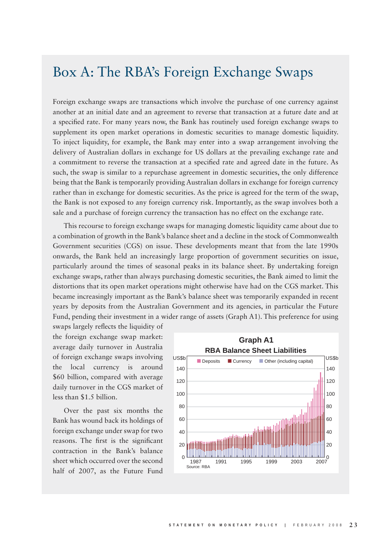## Box A: The RBA's Foreign Exchange Swaps

Foreign exchange swaps are transactions which involve the purchase of one currency against another at an initial date and an agreement to reverse that transaction at a future date and at a specified rate. For many years now, the Bank has routinely used foreign exchange swaps to supplement its open market operations in domestic securities to manage domestic liquidity. To inject liquidity, for example, the Bank may enter into a swap arrangement involving the delivery of Australian dollars in exchange for US dollars at the prevailing exchange rate and a commitment to reverse the transaction at a specified rate and agreed date in the future. As such, the swap is similar to a repurchase agreement in domestic securities, the only difference being that the Bank is temporarily providing Australian dollars in exchange for foreign currency rather than in exchange for domestic securities. As the price is agreed for the term of the swap, the Bank is not exposed to any foreign currency risk. Importantly, as the swap involves both a sale and a purchase of foreign currency the transaction has no effect on the exchange rate.

This recourse to foreign exchange swaps for managing domestic liquidity came about due to a combination of growth in the Bank's balance sheet and a decline in the stock of Commonwealth Government securities (CGS) on issue. These developments meant that from the late 1990s onwards, the Bank held an increasingly large proportion of government securities on issue, particularly around the times of seasonal peaks in its balance sheet. By undertaking foreign exchange swaps, rather than always purchasing domestic securities, the Bank aimed to limit the distortions that its open market operations might otherwise have had on the CGS market. This became increasingly important as the Bank's balance sheet was temporarily expanded in recent years by deposits from the Australian Government and its agencies, in particular the Future Fund, pending their investment in a wider range of assets (Graph A1). This preference for using

swaps largely reflects the liquidity of the foreign exchange swap market: average daily turnover in Australia of foreign exchange swaps involving the local currency is around \$60 billion, compared with average daily turnover in the CGS market of less than \$1.5 billion.

Over the past six months the Bank has wound back its holdings of foreign exchange under swap for two reasons. The first is the significant contraction in the Bank's balance sheet which occurred over the second half of 2007, as the Future Fund